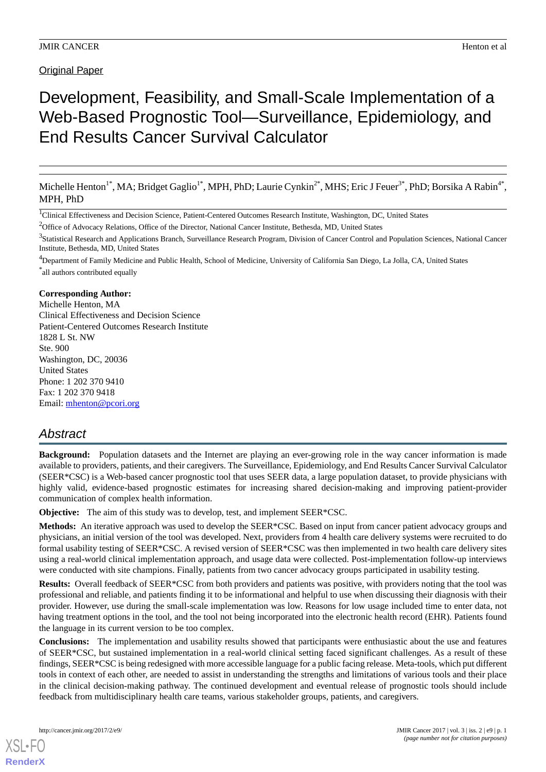# Original Paper

# Development, Feasibility, and Small-Scale Implementation of a Web-Based Prognostic Tool—Surveillance, Epidemiology, and End Results Cancer Survival Calculator

Michelle Henton<sup>1\*</sup>, MA; Bridget Gaglio<sup>1\*</sup>, MPH, PhD; Laurie Cynkin<sup>2\*</sup>, MHS; Eric J Feuer<sup>3\*</sup>, PhD; Borsika A Rabin<sup>4\*</sup>, MPH, PhD

<sup>1</sup>Clinical Effectiveness and Decision Science, Patient-Centered Outcomes Research Institute, Washington, DC, United States

<sup>2</sup>Office of Advocacy Relations, Office of the Director, National Cancer Institute, Bethesda, MD, United States

<sup>3</sup>Statistical Research and Applications Branch, Surveillance Research Program, Division of Cancer Control and Population Sciences, National Cancer Institute, Bethesda, MD, United States

<sup>4</sup>Department of Family Medicine and Public Health, School of Medicine, University of California San Diego, La Jolla, CA, United States \* all authors contributed equally

#### **Corresponding Author:**

Michelle Henton, MA Clinical Effectiveness and Decision Science Patient-Centered Outcomes Research Institute 1828 L St. NW Ste. 900 Washington, DC, 20036 United States Phone: 1 202 370 9410 Fax: 1 202 370 9418 Email: [mhenton@pcori.org](mailto:mhenton@pcori.org)

# *Abstract*

**Background:** Population datasets and the Internet are playing an ever-growing role in the way cancer information is made available to providers, patients, and their caregivers. The Surveillance, Epidemiology, and End Results Cancer Survival Calculator (SEER\*CSC) is a Web-based cancer prognostic tool that uses SEER data, a large population dataset, to provide physicians with highly valid, evidence-based prognostic estimates for increasing shared decision-making and improving patient-provider communication of complex health information.

**Objective:** The aim of this study was to develop, test, and implement SEER\*CSC.

**Methods:** An iterative approach was used to develop the SEER\*CSC. Based on input from cancer patient advocacy groups and physicians, an initial version of the tool was developed. Next, providers from 4 health care delivery systems were recruited to do formal usability testing of SEER\*CSC. A revised version of SEER\*CSC was then implemented in two health care delivery sites using a real-world clinical implementation approach, and usage data were collected. Post-implementation follow-up interviews were conducted with site champions. Finally, patients from two cancer advocacy groups participated in usability testing.

**Results:** Overall feedback of SEER\*CSC from both providers and patients was positive, with providers noting that the tool was professional and reliable, and patients finding it to be informational and helpful to use when discussing their diagnosis with their provider. However, use during the small-scale implementation was low. Reasons for low usage included time to enter data, not having treatment options in the tool, and the tool not being incorporated into the electronic health record (EHR). Patients found the language in its current version to be too complex.

**Conclusions:** The implementation and usability results showed that participants were enthusiastic about the use and features of SEER\*CSC, but sustained implementation in a real-world clinical setting faced significant challenges. As a result of these findings, SEER\*CSC is being redesigned with more accessible language for a public facing release. Meta-tools, which put different tools in context of each other, are needed to assist in understanding the strengths and limitations of various tools and their place in the clinical decision-making pathway. The continued development and eventual release of prognostic tools should include feedback from multidisciplinary health care teams, various stakeholder groups, patients, and caregivers.

[XSL](http://www.w3.org/Style/XSL)•FO **[RenderX](http://www.renderx.com/)**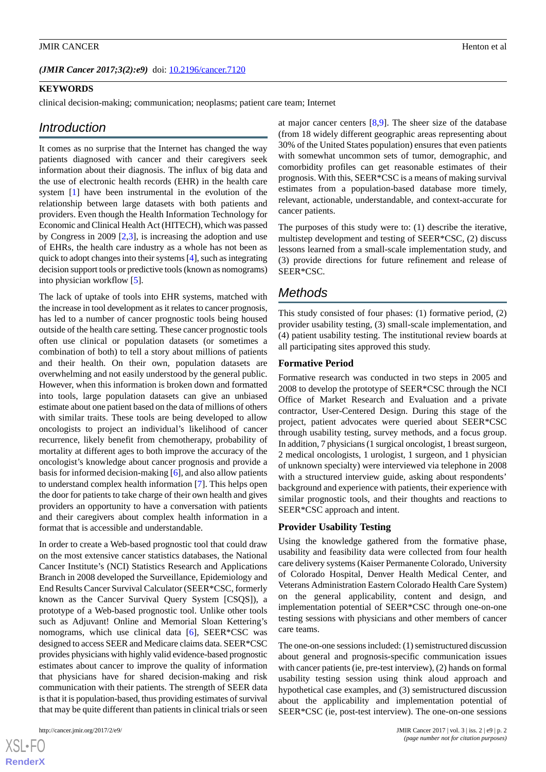#### *(JMIR Cancer 2017;3(2):e9)* doi:  $10.2196$ /cancer.7120

#### **KEYWORDS**

clinical decision-making; communication; neoplasms; patient care team; Internet

# *Introduction*

It comes as no surprise that the Internet has changed the way patients diagnosed with cancer and their caregivers seek information about their diagnosis. The influx of big data and the use of electronic health records (EHR) in the health care system [[1\]](#page-11-0) have been instrumental in the evolution of the relationship between large datasets with both patients and providers. Even though the Health Information Technology for Economic and Clinical Health Act (HITECH), which was passed by Congress in 2009 [[2,](#page-11-1)[3](#page-11-2)], is increasing the adoption and use of EHRs, the health care industry as a whole has not been as quick to adopt changes into their systems [[4\]](#page-11-3), such as integrating decision support tools or predictive tools (known as nomograms) into physician workflow [[5\]](#page-11-4).

The lack of uptake of tools into EHR systems, matched with the increase in tool development as it relates to cancer prognosis, has led to a number of cancer prognostic tools being housed outside of the health care setting. These cancer prognostic tools often use clinical or population datasets (or sometimes a combination of both) to tell a story about millions of patients and their health. On their own, population datasets are overwhelming and not easily understood by the general public. However, when this information is broken down and formatted into tools, large population datasets can give an unbiased estimate about one patient based on the data of millions of others with similar traits. These tools are being developed to allow oncologists to project an individual's likelihood of cancer recurrence, likely benefit from chemotherapy, probability of mortality at different ages to both improve the accuracy of the oncologist's knowledge about cancer prognosis and provide a basis for informed decision-making [\[6](#page-11-5)], and also allow patients to understand complex health information [\[7](#page-11-6)]. This helps open the door for patients to take charge of their own health and gives providers an opportunity to have a conversation with patients and their caregivers about complex health information in a format that is accessible and understandable.

In order to create a Web-based prognostic tool that could draw on the most extensive cancer statistics databases, the National Cancer Institute's (NCI) Statistics Research and Applications Branch in 2008 developed the Surveillance, Epidemiology and End Results Cancer Survival Calculator (SEER\*CSC, formerly known as the Cancer Survival Query System [CSQS]), a prototype of a Web-based prognostic tool. Unlike other tools such as Adjuvant! Online and Memorial Sloan Kettering's nomograms, which use clinical data [\[6](#page-11-5)], SEER\*CSC was designed to access SEER and Medicare claims data. SEER\*CSC provides physicians with highly valid evidence-based prognostic estimates about cancer to improve the quality of information that physicians have for shared decision-making and risk communication with their patients. The strength of SEER data is that it is population-based, thus providing estimates of survival that may be quite different than patients in clinical trials or seen

 $XS$  $\cdot$ FC **[RenderX](http://www.renderx.com/)** at major cancer centers [\[8](#page-11-7),[9\]](#page-11-8). The sheer size of the database (from 18 widely different geographic areas representing about 30% of the United States population) ensures that even patients with somewhat uncommon sets of tumor, demographic, and comorbidity profiles can get reasonable estimates of their prognosis. With this, SEER\*CSC is a means of making survival estimates from a population-based database more timely, relevant, actionable, understandable, and context-accurate for cancer patients.

The purposes of this study were to: (1) describe the iterative, multistep development and testing of SEER\*CSC, (2) discuss lessons learned from a small-scale implementation study, and (3) provide directions for future refinement and release of SEER\*CSC.

# *Methods*

This study consisted of four phases: (1) formative period, (2) provider usability testing, (3) small-scale implementation, and (4) patient usability testing. The institutional review boards at all participating sites approved this study.

#### **Formative Period**

Formative research was conducted in two steps in 2005 and 2008 to develop the prototype of SEER\*CSC through the NCI Office of Market Research and Evaluation and a private contractor, User-Centered Design. During this stage of the project, patient advocates were queried about SEER\*CSC through usability testing, survey methods, and a focus group. In addition, 7 physicians (1 surgical oncologist, 1 breast surgeon, 2 medical oncologists, 1 urologist, 1 surgeon, and 1 physician of unknown specialty) were interviewed via telephone in 2008 with a structured interview guide, asking about respondents' background and experience with patients, their experience with similar prognostic tools, and their thoughts and reactions to SEER\*CSC approach and intent.

#### **Provider Usability Testing**

Using the knowledge gathered from the formative phase, usability and feasibility data were collected from four health care delivery systems (Kaiser Permanente Colorado, University of Colorado Hospital, Denver Health Medical Center, and Veterans Administration Eastern Colorado Health Care System) on the general applicability, content and design, and implementation potential of SEER\*CSC through one-on-one testing sessions with physicians and other members of cancer care teams.

The one-on-one sessions included: (1) semistructured discussion about general and prognosis-specific communication issues with cancer patients (ie, pre-test interview), (2) hands on formal usability testing session using think aloud approach and hypothetical case examples, and (3) semistructured discussion about the applicability and implementation potential of SEER\*CSC (ie, post-test interview). The one-on-one sessions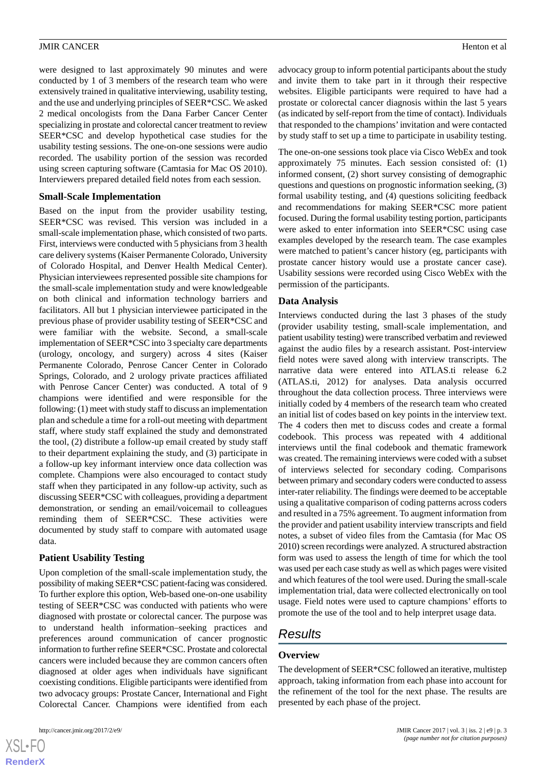were designed to last approximately 90 minutes and were conducted by 1 of 3 members of the research team who were extensively trained in qualitative interviewing, usability testing, and the use and underlying principles of SEER\*CSC. We asked 2 medical oncologists from the Dana Farber Cancer Center specializing in prostate and colorectal cancer treatment to review SEER\*CSC and develop hypothetical case studies for the usability testing sessions. The one-on-one sessions were audio recorded. The usability portion of the session was recorded using screen capturing software (Camtasia for Mac OS 2010). Interviewers prepared detailed field notes from each session.

### **Small-Scale Implementation**

Based on the input from the provider usability testing, SEER\*CSC was revised. This version was included in a small-scale implementation phase, which consisted of two parts. First, interviews were conducted with 5 physicians from 3 health care delivery systems (Kaiser Permanente Colorado, University of Colorado Hospital, and Denver Health Medical Center). Physician interviewees represented possible site champions for the small-scale implementation study and were knowledgeable on both clinical and information technology barriers and facilitators. All but 1 physician interviewee participated in the previous phase of provider usability testing of SEER\*CSC and were familiar with the website. Second, a small-scale implementation of SEER\*CSC into 3 specialty care departments (urology, oncology, and surgery) across 4 sites (Kaiser Permanente Colorado, Penrose Cancer Center in Colorado Springs, Colorado, and 2 urology private practices affiliated with Penrose Cancer Center) was conducted. A total of 9 champions were identified and were responsible for the following: (1) meet with study staff to discuss an implementation plan and schedule a time for a roll-out meeting with department staff, where study staff explained the study and demonstrated the tool, (2) distribute a follow-up email created by study staff to their department explaining the study, and (3) participate in a follow-up key informant interview once data collection was complete. Champions were also encouraged to contact study staff when they participated in any follow-up activity, such as discussing SEER\*CSC with colleagues, providing a department demonstration, or sending an email/voicemail to colleagues reminding them of SEER\*CSC. These activities were documented by study staff to compare with automated usage data.

# **Patient Usability Testing**

Upon completion of the small-scale implementation study, the possibility of making SEER\*CSC patient-facing was considered. To further explore this option, Web-based one-on-one usability testing of SEER\*CSC was conducted with patients who were diagnosed with prostate or colorectal cancer. The purpose was to understand health information–seeking practices and preferences around communication of cancer prognostic information to further refine SEER\*CSC. Prostate and colorectal cancers were included because they are common cancers often diagnosed at older ages when individuals have significant coexisting conditions. Eligible participants were identified from two advocacy groups: Prostate Cancer, International and Fight Colorectal Cancer. Champions were identified from each

advocacy group to inform potential participants about the study and invite them to take part in it through their respective websites. Eligible participants were required to have had a prostate or colorectal cancer diagnosis within the last 5 years (as indicated by self-report from the time of contact). Individuals that responded to the champions'invitation and were contacted by study staff to set up a time to participate in usability testing.

The one-on-one sessions took place via Cisco WebEx and took approximately 75 minutes. Each session consisted of: (1) informed consent, (2) short survey consisting of demographic questions and questions on prognostic information seeking, (3) formal usability testing, and (4) questions soliciting feedback and recommendations for making SEER\*CSC more patient focused. During the formal usability testing portion, participants were asked to enter information into SEER\*CSC using case examples developed by the research team. The case examples were matched to patient's cancer history (eg, participants with prostate cancer history would use a prostate cancer case). Usability sessions were recorded using Cisco WebEx with the permission of the participants.

# **Data Analysis**

Interviews conducted during the last 3 phases of the study (provider usability testing, small-scale implementation, and patient usability testing) were transcribed verbatim and reviewed against the audio files by a research assistant. Post-interview field notes were saved along with interview transcripts. The narrative data were entered into ATLAS.ti release 6.2 (ATLAS.ti, 2012) for analyses. Data analysis occurred throughout the data collection process. Three interviews were initially coded by 4 members of the research team who created an initial list of codes based on key points in the interview text. The 4 coders then met to discuss codes and create a formal codebook. This process was repeated with 4 additional interviews until the final codebook and thematic framework was created. The remaining interviews were coded with a subset of interviews selected for secondary coding. Comparisons between primary and secondary coders were conducted to assess inter-rater reliability. The findings were deemed to be acceptable using a qualitative comparison of coding patterns across coders and resulted in a 75% agreement. To augment information from the provider and patient usability interview transcripts and field notes, a subset of video files from the Camtasia (for Mac OS 2010) screen recordings were analyzed. A structured abstraction form was used to assess the length of time for which the tool was used per each case study as well as which pages were visited and which features of the tool were used. During the small-scale implementation trial, data were collected electronically on tool usage. Field notes were used to capture champions' efforts to promote the use of the tool and to help interpret usage data.

# *Results*

#### **Overview**

The development of SEER\*CSC followed an iterative, multistep approach, taking information from each phase into account for the refinement of the tool for the next phase. The results are presented by each phase of the project.

 $XS$  $\cdot$ FC **[RenderX](http://www.renderx.com/)**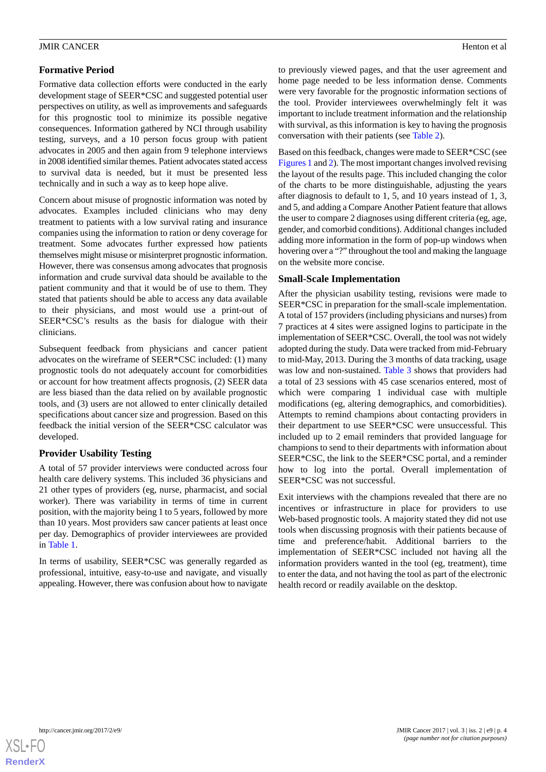Formative data collection efforts were conducted in the early development stage of SEER\*CSC and suggested potential user perspectives on utility, as well as improvements and safeguards for this prognostic tool to minimize its possible negative consequences. Information gathered by NCI through usability testing, surveys, and a 10 person focus group with patient advocates in 2005 and then again from 9 telephone interviews in 2008 identified similar themes. Patient advocates stated access to survival data is needed, but it must be presented less technically and in such a way as to keep hope alive.

Concern about misuse of prognostic information was noted by advocates. Examples included clinicians who may deny treatment to patients with a low survival rating and insurance companies using the information to ration or deny coverage for treatment. Some advocates further expressed how patients themselves might misuse or misinterpret prognostic information. However, there was consensus among advocates that prognosis information and crude survival data should be available to the patient community and that it would be of use to them. They stated that patients should be able to access any data available to their physicians, and most would use a print-out of SEER\*CSC's results as the basis for dialogue with their clinicians.

Subsequent feedback from physicians and cancer patient advocates on the wireframe of SEER\*CSC included: (1) many prognostic tools do not adequately account for comorbidities or account for how treatment affects prognosis, (2) SEER data are less biased than the data relied on by available prognostic tools, and (3) users are not allowed to enter clinically detailed specifications about cancer size and progression. Based on this feedback the initial version of the SEER\*CSC calculator was developed.

# **Provider Usability Testing**

A total of 57 provider interviews were conducted across four health care delivery systems. This included 36 physicians and 21 other types of providers (eg, nurse, pharmacist, and social worker). There was variability in terms of time in current position, with the majority being 1 to 5 years, followed by more than 10 years. Most providers saw cancer patients at least once per day. Demographics of provider interviewees are provided in [Table 1](#page-4-0).

In terms of usability, SEER\*CSC was generally regarded as professional, intuitive, easy-to-use and navigate, and visually appealing. However, there was confusion about how to navigate

to previously viewed pages, and that the user agreement and home page needed to be less information dense. Comments were very favorable for the prognostic information sections of the tool. Provider interviewees overwhelmingly felt it was important to include treatment information and the relationship with survival, as this information is key to having the prognosis conversation with their patients (see [Table 2\)](#page-5-0).

Based on this feedback, changes were made to SEER\*CSC (see [Figures 1](#page-6-0) and [2\)](#page-7-0). The most important changes involved revising the layout of the results page. This included changing the color of the charts to be more distinguishable, adjusting the years after diagnosis to default to 1, 5, and 10 years instead of 1, 3, and 5, and adding a Compare Another Patient feature that allows the user to compare 2 diagnoses using different criteria (eg, age, gender, and comorbid conditions). Additional changes included adding more information in the form of pop-up windows when hovering over a "?" throughout the tool and making the language on the website more concise.

# **Small-Scale Implementation**

After the physician usability testing, revisions were made to SEER\*CSC in preparation for the small-scale implementation. A total of 157 providers (including physicians and nurses) from 7 practices at 4 sites were assigned logins to participate in the implementation of SEER\*CSC. Overall, the tool was not widely adopted during the study. Data were tracked from mid-February to mid-May, 2013. During the 3 months of data tracking, usage was low and non-sustained. [Table 3](#page-8-0) shows that providers had a total of 23 sessions with 45 case scenarios entered, most of which were comparing 1 individual case with multiple modifications (eg, altering demographics, and comorbidities). Attempts to remind champions about contacting providers in their department to use SEER\*CSC were unsuccessful. This included up to 2 email reminders that provided language for champions to send to their departments with information about SEER\*CSC, the link to the SEER\*CSC portal, and a reminder how to log into the portal. Overall implementation of SEER\*CSC was not successful.

Exit interviews with the champions revealed that there are no incentives or infrastructure in place for providers to use Web-based prognostic tools. A majority stated they did not use tools when discussing prognosis with their patients because of time and preference/habit. Additional barriers to the implementation of SEER\*CSC included not having all the information providers wanted in the tool (eg, treatment), time to enter the data, and not having the tool as part of the electronic health record or readily available on the desktop.

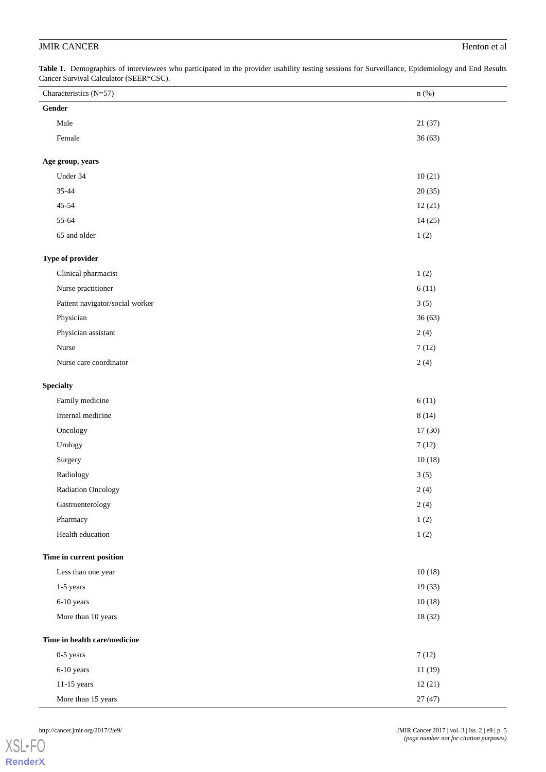<span id="page-4-0"></span>Table 1. Demographics of interviewees who participated in the provider usability testing sessions for Surveillance, Epidemiology and End Results Cancer Survival Calculator (SEER\*CSC).

| Characteristics (N=57)          | n(%)    |
|---------------------------------|---------|
| Gender                          |         |
| Male                            | 21(37)  |
| Female                          | 36(63)  |
| Age group, years                |         |
| Under 34                        | 10(21)  |
| 35-44                           | 20(35)  |
| $45 - 54$                       | 12(21)  |
| 55-64                           | 14(25)  |
| 65 and older                    | 1(2)    |
|                                 |         |
| Type of provider                |         |
| Clinical pharmacist             | 1(2)    |
| Nurse practitioner              | 6(11)   |
| Patient navigator/social worker | 3(5)    |
| Physician                       | 36(63)  |
| Physician assistant             | 2(4)    |
| Nurse                           | 7(12)   |
| Nurse care coordinator          | 2(4)    |
| <b>Specialty</b>                |         |
| Family medicine                 | 6(11)   |
| Internal medicine               | 8(14)   |
| Oncology                        | 17(30)  |
| Urology                         | 7(12)   |
| Surgery                         | 10(18)  |
| Radiology                       | 3(5)    |
| Radiation Oncology              | 2(4)    |
| Gastroenterology                | 2(4)    |
| Pharmacy                        | 1(2)    |
| Health education                | 1(2)    |
| Time in current position        |         |
| Less than one year              | 10(18)  |
| 1-5 years                       | 19(33)  |
| 6-10 years                      | 10(18)  |
| More than 10 years              | 18 (32) |
|                                 |         |
| Time in health care/medicine    |         |
| 0-5 years                       | 7(12)   |
| 6-10 years                      | 11(19)  |
| 11-15 years                     | 12(21)  |
| More than 15 years              | 27(47)  |

[XSL](http://www.w3.org/Style/XSL)•FO **[RenderX](http://www.renderx.com/)**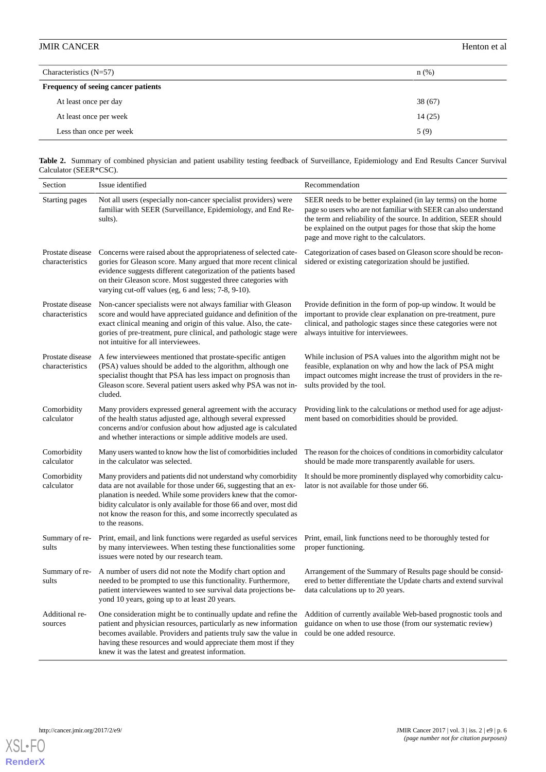| Characteristics $(N=57)$            | $n$ (%) |
|-------------------------------------|---------|
| Frequency of seeing cancer patients |         |
| At least once per day               | 38(67)  |
| At least once per week              | 14(25)  |
| Less than once per week             | 5(9)    |

<span id="page-5-0"></span>**Table 2.** Summary of combined physician and patient usability testing feedback of Surveillance, Epidemiology and End Results Cancer Survival Calculator (SEER\*CSC).

| Section                             | Issue identified                                                                                                                                                                                                                                                                                                                                                    | Recommendation                                                                                                                                                                                                                                                                                                   |
|-------------------------------------|---------------------------------------------------------------------------------------------------------------------------------------------------------------------------------------------------------------------------------------------------------------------------------------------------------------------------------------------------------------------|------------------------------------------------------------------------------------------------------------------------------------------------------------------------------------------------------------------------------------------------------------------------------------------------------------------|
| Starting pages                      | Not all users (especially non-cancer specialist providers) were<br>familiar with SEER (Surveillance, Epidemiology, and End Re-<br>sults).                                                                                                                                                                                                                           | SEER needs to be better explained (in lay terms) on the home<br>page so users who are not familiar with SEER can also understand<br>the term and reliability of the source. In addition, SEER should<br>be explained on the output pages for those that skip the home<br>page and move right to the calculators. |
| Prostate disease<br>characteristics | Concerns were raised about the appropriateness of selected cate-<br>gories for Gleason score. Many argued that more recent clinical<br>evidence suggests different categorization of the patients based<br>on their Gleason score. Most suggested three categories with<br>varying cut-off values (eg, 6 and less; 7-8, 9-10).                                      | Categorization of cases based on Gleason score should be recon-<br>sidered or existing categorization should be justified.                                                                                                                                                                                       |
| Prostate disease<br>characteristics | Non-cancer specialists were not always familiar with Gleason<br>score and would have appreciated guidance and definition of the<br>exact clinical meaning and origin of this value. Also, the cate-<br>gories of pre-treatment, pure clinical, and pathologic stage were<br>not intuitive for all interviewees.                                                     | Provide definition in the form of pop-up window. It would be<br>important to provide clear explanation on pre-treatment, pure<br>clinical, and pathologic stages since these categories were not<br>always intuitive for interviewees.                                                                           |
| Prostate disease<br>characteristics | A few interviewees mentioned that prostate-specific antigen<br>(PSA) values should be added to the algorithm, although one<br>specialist thought that PSA has less impact on prognosis than<br>Gleason score. Several patient users asked why PSA was not in-<br>cluded.                                                                                            | While inclusion of PSA values into the algorithm might not be<br>feasible, explanation on why and how the lack of PSA might<br>impact outcomes might increase the trust of providers in the re-<br>sults provided by the tool.                                                                                   |
| Comorbidity<br>calculator           | Many providers expressed general agreement with the accuracy<br>of the health status adjusted age, although several expressed<br>concerns and/or confusion about how adjusted age is calculated<br>and whether interactions or simple additive models are used.                                                                                                     | Providing link to the calculations or method used for age adjust-<br>ment based on comorbidities should be provided.                                                                                                                                                                                             |
| Comorbidity<br>calculator           | Many users wanted to know how the list of comorbidities included<br>in the calculator was selected.                                                                                                                                                                                                                                                                 | The reason for the choices of conditions in comorbidity calculator<br>should be made more transparently available for users.                                                                                                                                                                                     |
| Comorbidity<br>calculator           | Many providers and patients did not understand why comorbidity<br>data are not available for those under 66, suggesting that an ex-<br>planation is needed. While some providers knew that the comor-<br>bidity calculator is only available for those 66 and over, most did<br>not know the reason for this, and some incorrectly speculated as<br>to the reasons. | It should be more prominently displayed why comorbidity calcu-<br>lator is not available for those under 66.                                                                                                                                                                                                     |
| Summary of re-<br>sults             | Print, email, and link functions were regarded as useful services<br>by many interviewees. When testing these functionalities some<br>issues were noted by our research team.                                                                                                                                                                                       | Print, email, link functions need to be thoroughly tested for<br>proper functioning.                                                                                                                                                                                                                             |
| Summary of re-<br>sults             | A number of users did not note the Modify chart option and<br>needed to be prompted to use this functionality. Furthermore,<br>patient interviewees wanted to see survival data projections be-<br>yond 10 years, going up to at least 20 years.                                                                                                                    | Arrangement of the Summary of Results page should be consid-<br>ered to better differentiate the Update charts and extend survival<br>data calculations up to 20 years.                                                                                                                                          |
| Additional re-<br>sources           | One consideration might be to continually update and refine the<br>patient and physician resources, particularly as new information<br>becomes available. Providers and patients truly saw the value in<br>having these resources and would appreciate them most if they<br>knew it was the latest and greatest information.                                        | Addition of currently available Web-based prognostic tools and<br>guidance on when to use those (from our systematic review)<br>could be one added resource.                                                                                                                                                     |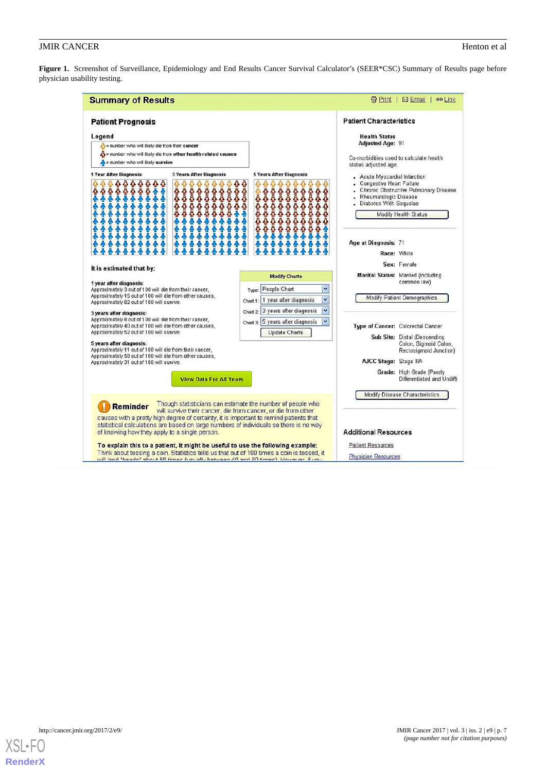<span id="page-6-0"></span>Figure 1. Screenshot of Surveillance, Epidemiology and End Results Cancer Survival Calculator's (SEER\*CSC) Summary of Results page before physician usability testing.

| <b>Summary of Results</b>                                                                                                                                                                                                                                                                                                                                                                                                           |                                                                                                                             |                                                                                                                                                               | <b>最Print   図 Email  </b><br>ee Link                                                                                                                                                                                                                                                                                                                                                |
|-------------------------------------------------------------------------------------------------------------------------------------------------------------------------------------------------------------------------------------------------------------------------------------------------------------------------------------------------------------------------------------------------------------------------------------|-----------------------------------------------------------------------------------------------------------------------------|---------------------------------------------------------------------------------------------------------------------------------------------------------------|-------------------------------------------------------------------------------------------------------------------------------------------------------------------------------------------------------------------------------------------------------------------------------------------------------------------------------------------------------------------------------------|
| <b>Patient Prognosis</b><br>Legend<br>number who will likely die from their cancer<br>$\Lambda$ = number who will likely die from other health related causes<br>$\Lambda$ = number who will likely survive<br>1 Year After Diagnosis<br>888888<br>春春<br>8888888888<br>合合合合<br>44                                                                                                                                                   | <b>3 Years After Diagnosis</b><br><b>0000000000</b><br>0000000000<br><b>88888888888</b><br><b>88888888</b><br>ā<br>ÕÕ.<br>٥ | <b>5 Years After Diagnosis</b><br>ふふふ<br>Ą.<br>**********<br>õ<br>000000                                                                                      | <b>Patient Characteristics</b><br><b>Health Status</b><br><b>Adjusted Age: 91</b><br>Co-morbidities used to calculate health<br>status adjusted age:<br>- Acute Myocardial Infarction<br><b>Congestive Heart Failure</b><br>Chronic Obstructive Pulmonary Disease<br>Rheumatologic Disease<br>Diabetes With Sequelae<br>Modify Health Status<br>Age at Diagnosis: 71<br>Race: White |
| It is estimated that by:<br>1 year after diagnosis:<br>Approximately 3 out of 100 will die from their cancer,<br>Approximately 15 out of 100 will die from other causes,<br>Approximately 82 out of 100 will survive.<br>3 years after diagnosis:                                                                                                                                                                                   |                                                                                                                             | <b>Modify Charts</b><br>Type: People Chart<br>Y<br>$\checkmark$<br>Chart 1: 1 year after diagnosis<br>$\ddot{\phantom{1}}$<br>Chart 2 3 years after diagnosis | Sex: Female<br>Marital Status: Married (including<br>common law)<br>Modify Patient Demographics                                                                                                                                                                                                                                                                                     |
| Approximately 8 out of 100 will die from their cancer,<br>Approximately 40 out of 100 will die from other causes,<br>Approximately 52 out of 100 will survive.<br>5 years after diagnosis:<br>Approximately 11 out of 100 will die from their cancer,<br>Approximately 58 out of 100 will die from other causes,<br>Approximately 31 out of 100 will survive.                                                                       | <b>View Data For All Years</b>                                                                                              | $\ddot{\phantom{0}}$<br>Chart $3.5$ years after diagnosis<br>Update Charts                                                                                    | Type of Cancer: Colorectal Cancer<br>Sub Site: Distal (Descending<br>Colon, Sigmoid Colon,<br>Rectosigmoid Junction)<br><b>AJCC Stage: Stage IIIA</b><br>Grade: High Grade (Poorly<br>Differentiated and Undiff)                                                                                                                                                                    |
| <b>Reminder</b><br>causes with a pretty high degree of certainty, it is important to remind patients that<br>statistical calculations are based on large numbers of individuals so there is no way<br>of knowing how they apply to a single person.<br>To explain this to a patient, it might be useful to use the following example:<br>Think about tossing a coin. Statistics tells us that out of 100 times a coin is tossed, it |                                                                                                                             | Though statisticians can estimate the number of people who<br>will survive their cancer, die from cancer, or die from other                                   | Modify Disease Characteristics<br><b>Additional Resources</b><br><b>Patient Resources</b><br><b>Physician Resources</b>                                                                                                                                                                                                                                                             |

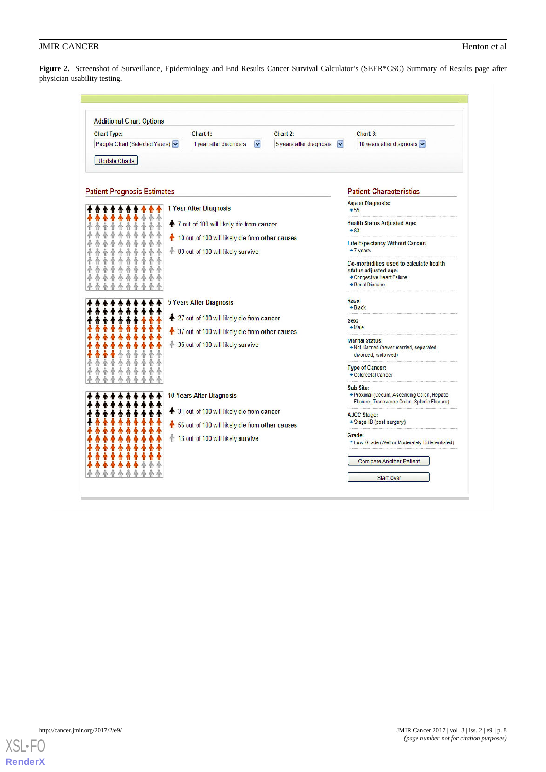<span id="page-7-0"></span>**Figure 2.** Screenshot of Surveillance, Epidemiology and End Results Cancer Survival Calculator's (SEER\*CSC) Summary of Results page after physician usability testing.

| <b>Additional Chart Options</b>                                                                                                         |                                                                                        |                                                                                          |                                                                                                                  |  |
|-----------------------------------------------------------------------------------------------------------------------------------------|----------------------------------------------------------------------------------------|------------------------------------------------------------------------------------------|------------------------------------------------------------------------------------------------------------------|--|
| <b>Chart Type:</b>                                                                                                                      | Chart 1:                                                                               | Chart 2:                                                                                 | Chart 3:                                                                                                         |  |
| People Chart (Selected Years) v<br>1 year after diagnosis<br>v                                                                          |                                                                                        | 5 years after diagnosis<br>v                                                             | 10 years after diagnosis                                                                                         |  |
| <b>Update Charts</b>                                                                                                                    |                                                                                        |                                                                                          |                                                                                                                  |  |
| <b>Patient Prognosis Estimates</b>                                                                                                      |                                                                                        |                                                                                          | <b>Patient Characteristics</b>                                                                                   |  |
| 1 Year After Diagnosis<br>↑ 7 out of 100 will likely die from cancer                                                                    |                                                                                        | <b>Age at Diagnosis:</b><br>$+55$                                                        |                                                                                                                  |  |
|                                                                                                                                         |                                                                                        | <b>Health Status Adjusted Age:</b><br>$+83$                                              |                                                                                                                  |  |
|                                                                                                                                         | 10 out of 100 will likely die from other causes<br>会 83 out of 100 will likely survive |                                                                                          | Life Expectancy Without Cancer:<br>$+7$ years                                                                    |  |
|                                                                                                                                         |                                                                                        |                                                                                          | Co-morbidities used to calculate health<br>status adjusted age:<br>+ Congestive Heart Failure<br>+ Renal Disease |  |
|                                                                                                                                         | <b>5 Years After Diagnosis</b>                                                         |                                                                                          | Race:<br>$+ Black$                                                                                               |  |
|                                                                                                                                         | ↑ 27 out of 100 will likely die from cancer                                            |                                                                                          | Sex:<br>$+ Make$                                                                                                 |  |
| 1 37 out of 100 will likely die from other causes<br>令 36 out of 100 will likely survive                                                |                                                                                        | <b>Marital Status:</b><br>+ Not Married (never married, separated,<br>divorced, widowed) |                                                                                                                  |  |
|                                                                                                                                         |                                                                                        |                                                                                          | <b>Type of Cancer:</b><br>+ Colorectal Cancer                                                                    |  |
|                                                                                                                                         | <b>10 Years After Diagnosis</b>                                                        |                                                                                          | Sub Site:<br>+ Proximal (Cecum, Ascending Colon, Hepatic<br>Flexure, Transverse Colon, Splenic Flexure)          |  |
| ↑ 31 out of 100 will likely die from cancer<br>6 56 out of 100 will likely die from other causes<br>令 13 out of 100 will likely survive |                                                                                        |                                                                                          | AJCC Stage:<br>+ Stage IIB (post surgery)                                                                        |  |
|                                                                                                                                         |                                                                                        |                                                                                          |                                                                                                                  |  |
|                                                                                                                                         |                                                                                        |                                                                                          | Grade:<br>* Low Grade (Well or Moderately Differentiated)                                                        |  |
|                                                                                                                                         |                                                                                        |                                                                                          | <b>Compare Another Patient</b>                                                                                   |  |
|                                                                                                                                         |                                                                                        |                                                                                          | <b>Start Over</b>                                                                                                |  |

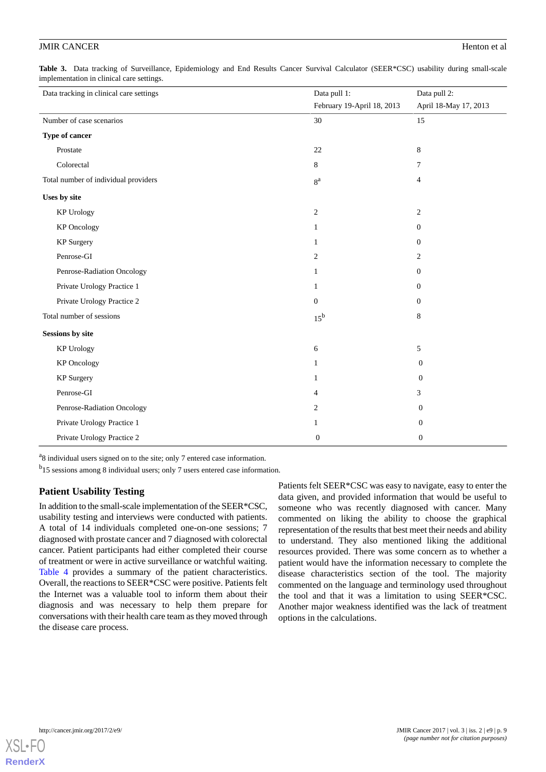<span id="page-8-0"></span>**Table 3.** Data tracking of Surveillance, Epidemiology and End Results Cancer Survival Calculator (SEER\*CSC) usability during small-scale implementation in clinical care settings.

| Data tracking in clinical care settings | Data pull 1:               | Data pull 2:          |
|-----------------------------------------|----------------------------|-----------------------|
|                                         | February 19-April 18, 2013 | April 18-May 17, 2013 |
| Number of case scenarios                | 30                         | 15                    |
| Type of cancer                          |                            |                       |
| Prostate                                | 22                         | 8                     |
| Colorectal                              | 8                          | 7                     |
| Total number of individual providers    | 8 <sup>a</sup>             | $\overline{4}$        |
| Uses by site                            |                            |                       |
| <b>KP Urology</b>                       | $\boldsymbol{2}$           | $\overline{2}$        |
| <b>KP</b> Oncology                      | $\mathbf{1}$               | $\boldsymbol{0}$      |
| <b>KP</b> Surgery                       | 1                          | $\boldsymbol{0}$      |
| Penrose-GI                              | $\overline{c}$             | $\overline{2}$        |
| Penrose-Radiation Oncology              | 1                          | $\theta$              |
| Private Urology Practice 1              | $\mathbf{1}$               | $\mathbf{0}$          |
| Private Urology Practice 2              | $\mathbf{0}$               | $\mathbf{0}$          |
| Total number of sessions                | $15^{\rm b}$               | 8                     |
| <b>Sessions by site</b>                 |                            |                       |
| <b>KP Urology</b>                       | 6                          | 5                     |
| <b>KP</b> Oncology                      | 1                          | $\mathbf{0}$          |
| <b>KP</b> Surgery                       | 1                          | $\theta$              |
| Penrose-GI                              | 4                          | 3                     |
| Penrose-Radiation Oncology              | 2                          | $\overline{0}$        |
| Private Urology Practice 1              | 1                          | $\mathbf{0}$          |
| Private Urology Practice 2              | $\boldsymbol{0}$           | $\boldsymbol{0}$      |

<sup>a</sup>8 individual users signed on to the site; only 7 entered case information.

<sup>b</sup>15 sessions among 8 individual users; only 7 users entered case information.

# **Patient Usability Testing**

In addition to the small-scale implementation of the SEER\*CSC, usability testing and interviews were conducted with patients. A total of 14 individuals completed one-on-one sessions; 7 diagnosed with prostate cancer and 7 diagnosed with colorectal cancer. Patient participants had either completed their course of treatment or were in active surveillance or watchful waiting. [Table 4](#page-9-0) provides a summary of the patient characteristics. Overall, the reactions to SEER\*CSC were positive. Patients felt the Internet was a valuable tool to inform them about their diagnosis and was necessary to help them prepare for conversations with their health care team as they moved through the disease care process.

Patients felt SEER\*CSC was easy to navigate, easy to enter the data given, and provided information that would be useful to someone who was recently diagnosed with cancer. Many commented on liking the ability to choose the graphical representation of the results that best meet their needs and ability to understand. They also mentioned liking the additional resources provided. There was some concern as to whether a patient would have the information necessary to complete the disease characteristics section of the tool. The majority commented on the language and terminology used throughout the tool and that it was a limitation to using SEER\*CSC. Another major weakness identified was the lack of treatment options in the calculations.

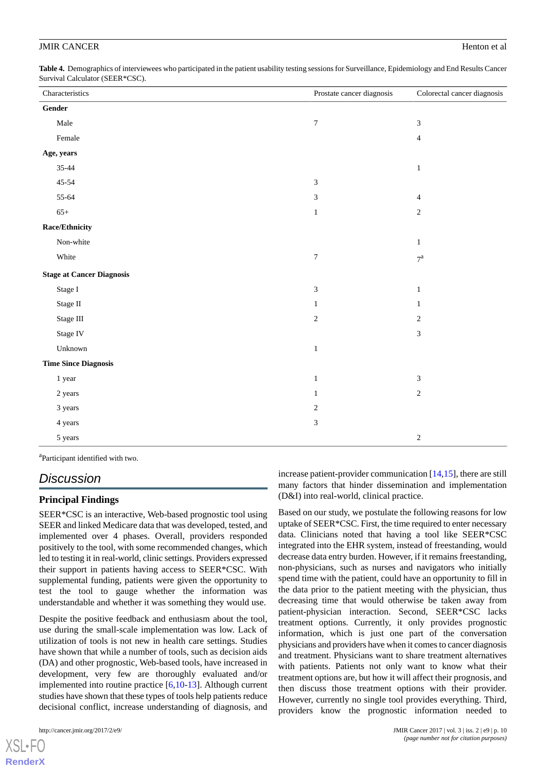<span id="page-9-0"></span>**Table 4.** Demographics of interviewees who participated in the patient usability testing sessions for Surveillance, Epidemiology and End Results Cancer Survival Calculator (SEER\*CSC).

| Characteristics                  | Prostate cancer diagnosis   | Colorectal cancer diagnosis |
|----------------------------------|-----------------------------|-----------------------------|
| Gender                           |                             |                             |
| Male                             | $\boldsymbol{7}$            | $\sqrt{3}$                  |
| Female                           |                             | $\overline{4}$              |
| Age, years                       |                             |                             |
| $35 - 44$                        |                             | $\mathbf{1}$                |
| $45 - 54$                        | $\ensuremath{\mathfrak{Z}}$ |                             |
| 55-64                            | $\ensuremath{\mathfrak{Z}}$ | $\overline{4}$              |
| $65+$                            | $\mathbf{1}$                | $\sqrt{2}$                  |
| Race/Ethnicity                   |                             |                             |
| Non-white                        |                             | $\mathbf{1}$                |
| White                            | $\boldsymbol{7}$            | $7^{\mathrm{a}}$            |
| <b>Stage at Cancer Diagnosis</b> |                             |                             |
| Stage I                          | $\ensuremath{\mathfrak{Z}}$ | $\mathbf{1}$                |
| Stage II                         | $\mathbf{1}$                | $\mathbf{1}$                |
| Stage III                        | $\sqrt{2}$                  | $\sqrt{2}$                  |
| Stage IV                         |                             | $\sqrt{3}$                  |
| Unknown                          | $\mathbf{1}$                |                             |
| <b>Time Since Diagnosis</b>      |                             |                             |
| 1 year                           | $\mathbf{1}$                | $\mathfrak{Z}$              |
| 2 years                          | $\mathbf{1}$                | $\sqrt{2}$                  |
| 3 years                          | $\sqrt{2}$                  |                             |
| 4 years                          | $\ensuremath{\mathfrak{Z}}$ |                             |
| 5 years                          |                             | $\mathbf{2}$                |

<sup>a</sup>Participant identified with two.

# *Discussion*

### **Principal Findings**

SEER\*CSC is an interactive, Web-based prognostic tool using SEER and linked Medicare data that was developed, tested, and implemented over 4 phases. Overall, providers responded positively to the tool, with some recommended changes, which led to testing it in real-world, clinic settings. Providers expressed their support in patients having access to SEER\*CSC. With supplemental funding, patients were given the opportunity to test the tool to gauge whether the information was understandable and whether it was something they would use.

Despite the positive feedback and enthusiasm about the tool, use during the small-scale implementation was low. Lack of utilization of tools is not new in health care settings. Studies have shown that while a number of tools, such as decision aids (DA) and other prognostic, Web-based tools, have increased in development, very few are thoroughly evaluated and/or implemented into routine practice [[6](#page-11-5)[,10](#page-11-9)-[13\]](#page-11-10). Although current studies have shown that these types of tools help patients reduce decisional conflict, increase understanding of diagnosis, and

[XSL](http://www.w3.org/Style/XSL)•FO **[RenderX](http://www.renderx.com/)**

increase patient-provider communication [[14,](#page-11-11)[15](#page-11-12)], there are still many factors that hinder dissemination and implementation (D&I) into real-world, clinical practice.

Based on our study, we postulate the following reasons for low uptake of SEER\*CSC. First, the time required to enter necessary data. Clinicians noted that having a tool like SEER\*CSC integrated into the EHR system, instead of freestanding, would decrease data entry burden. However, if it remains freestanding, non-physicians, such as nurses and navigators who initially spend time with the patient, could have an opportunity to fill in the data prior to the patient meeting with the physician, thus decreasing time that would otherwise be taken away from patient-physician interaction. Second, SEER\*CSC lacks treatment options. Currently, it only provides prognostic information, which is just one part of the conversation physicians and providers have when it comes to cancer diagnosis and treatment. Physicians want to share treatment alternatives with patients. Patients not only want to know what their treatment options are, but how it will affect their prognosis, and then discuss those treatment options with their provider. However, currently no single tool provides everything. Third, providers know the prognostic information needed to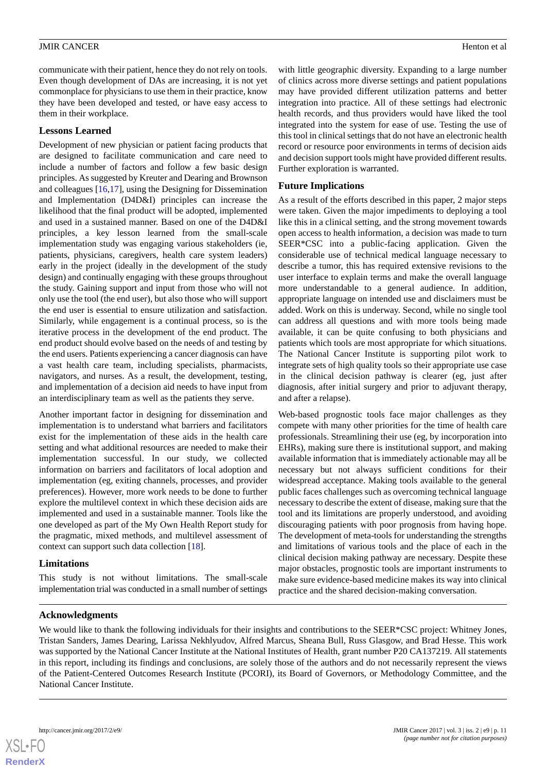communicate with their patient, hence they do not rely on tools. Even though development of DAs are increasing, it is not yet commonplace for physicians to use them in their practice, know they have been developed and tested, or have easy access to them in their workplace.

### **Lessons Learned**

Development of new physician or patient facing products that are designed to facilitate communication and care need to include a number of factors and follow a few basic design principles. As suggested by Kreuter and Dearing and Brownson and colleagues [\[16](#page-11-13),[17\]](#page-11-14), using the Designing for Dissemination and Implementation (D4D&I) principles can increase the likelihood that the final product will be adopted, implemented and used in a sustained manner. Based on one of the D4D&I principles, a key lesson learned from the small-scale implementation study was engaging various stakeholders (ie, patients, physicians, caregivers, health care system leaders) early in the project (ideally in the development of the study design) and continually engaging with these groups throughout the study. Gaining support and input from those who will not only use the tool (the end user), but also those who will support the end user is essential to ensure utilization and satisfaction. Similarly, while engagement is a continual process, so is the iterative process in the development of the end product. The end product should evolve based on the needs of and testing by the end users. Patients experiencing a cancer diagnosis can have a vast health care team, including specialists, pharmacists, navigators, and nurses. As a result, the development, testing, and implementation of a decision aid needs to have input from an interdisciplinary team as well as the patients they serve.

Another important factor in designing for dissemination and implementation is to understand what barriers and facilitators exist for the implementation of these aids in the health care setting and what additional resources are needed to make their implementation successful. In our study, we collected information on barriers and facilitators of local adoption and implementation (eg, exiting channels, processes, and provider preferences). However, more work needs to be done to further explore the multilevel context in which these decision aids are implemented and used in a sustainable manner. Tools like the one developed as part of the My Own Health Report study for the pragmatic, mixed methods, and multilevel assessment of context can support such data collection [\[18](#page-11-15)].

# **Limitations**

This study is not without limitations. The small-scale implementation trial was conducted in a small number of settings with little geographic diversity. Expanding to a large number of clinics across more diverse settings and patient populations may have provided different utilization patterns and better integration into practice. All of these settings had electronic health records, and thus providers would have liked the tool integrated into the system for ease of use. Testing the use of this tool in clinical settings that do not have an electronic health record or resource poor environments in terms of decision aids and decision support tools might have provided different results. Further exploration is warranted.

# **Future Implications**

As a result of the efforts described in this paper, 2 major steps were taken. Given the major impediments to deploying a tool like this in a clinical setting, and the strong movement towards open access to health information, a decision was made to turn SEER\*CSC into a public-facing application. Given the considerable use of technical medical language necessary to describe a tumor, this has required extensive revisions to the user interface to explain terms and make the overall language more understandable to a general audience. In addition, appropriate language on intended use and disclaimers must be added. Work on this is underway. Second, while no single tool can address all questions and with more tools being made available, it can be quite confusing to both physicians and patients which tools are most appropriate for which situations. The National Cancer Institute is supporting pilot work to integrate sets of high quality tools so their appropriate use case in the clinical decision pathway is clearer (eg, just after diagnosis, after initial surgery and prior to adjuvant therapy, and after a relapse).

Web-based prognostic tools face major challenges as they compete with many other priorities for the time of health care professionals. Streamlining their use (eg, by incorporation into EHRs), making sure there is institutional support, and making available information that is immediately actionable may all be necessary but not always sufficient conditions for their widespread acceptance. Making tools available to the general public faces challenges such as overcoming technical language necessary to describe the extent of disease, making sure that the tool and its limitations are properly understood, and avoiding discouraging patients with poor prognosis from having hope. The development of meta-tools for understanding the strengths and limitations of various tools and the place of each in the clinical decision making pathway are necessary. Despite these major obstacles, prognostic tools are important instruments to make sure evidence-based medicine makes its way into clinical practice and the shared decision-making conversation.

# **Acknowledgments**

We would like to thank the following individuals for their insights and contributions to the SEER\*CSC project: Whitney Jones, Tristan Sanders, James Dearing, Larissa Nekhlyudov, Alfred Marcus, Sheana Bull, Russ Glasgow, and Brad Hesse. This work was supported by the National Cancer Institute at the National Institutes of Health, grant number P20 CA137219. All statements in this report, including its findings and conclusions, are solely those of the authors and do not necessarily represent the views of the Patient-Centered Outcomes Research Institute (PCORI), its Board of Governors, or Methodology Committee, and the National Cancer Institute.

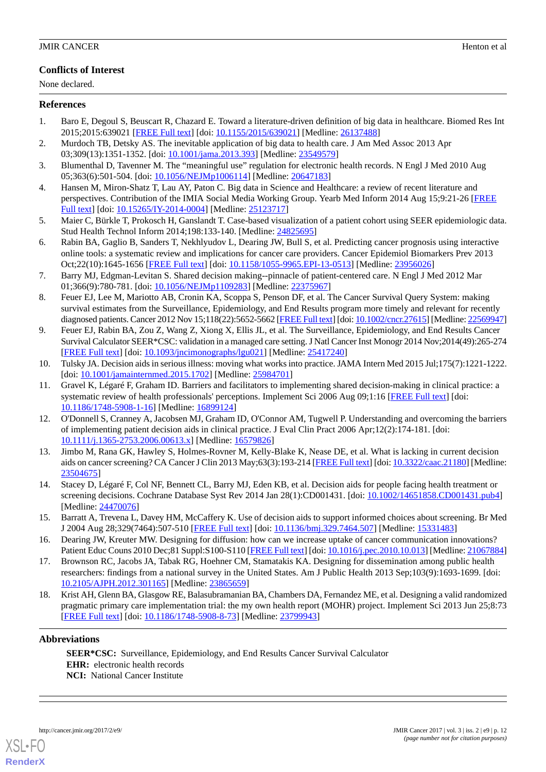# **Conflicts of Interest**

None declared.

#### <span id="page-11-0"></span>**References**

- <span id="page-11-1"></span>1. Baro E, Degoul S, Beuscart R, Chazard E. Toward a literature-driven definition of big data in healthcare. Biomed Res Int 2015;2015:639021 [[FREE Full text](https://dx.doi.org/10.1155/2015/639021)] [doi: [10.1155/2015/639021\]](http://dx.doi.org/10.1155/2015/639021) [Medline: [26137488](http://www.ncbi.nlm.nih.gov/entrez/query.fcgi?cmd=Retrieve&db=PubMed&list_uids=26137488&dopt=Abstract)]
- <span id="page-11-2"></span>2. Murdoch TB, Detsky AS. The inevitable application of big data to health care. J Am Med Assoc 2013 Apr 03;309(13):1351-1352. [doi: [10.1001/jama.2013.393](http://dx.doi.org/10.1001/jama.2013.393)] [Medline: [23549579\]](http://www.ncbi.nlm.nih.gov/entrez/query.fcgi?cmd=Retrieve&db=PubMed&list_uids=23549579&dopt=Abstract)
- <span id="page-11-3"></span>3. Blumenthal D, Tavenner M. The "meaningful use" regulation for electronic health records. N Engl J Med 2010 Aug 05;363(6):501-504. [doi: [10.1056/NEJMp1006114\]](http://dx.doi.org/10.1056/NEJMp1006114) [Medline: [20647183\]](http://www.ncbi.nlm.nih.gov/entrez/query.fcgi?cmd=Retrieve&db=PubMed&list_uids=20647183&dopt=Abstract)
- <span id="page-11-4"></span>4. Hansen M, Miron-Shatz T, Lau AY, Paton C. Big data in Science and Healthcare: a review of recent literature and perspectives. Contribution of the IMIA Social Media Working Group. Yearb Med Inform 2014 Aug 15;9:21-26 [\[FREE](http://europepmc.org/abstract/MED/25123717) [Full text\]](http://europepmc.org/abstract/MED/25123717) [doi: [10.15265/IY-2014-0004\]](http://dx.doi.org/10.15265/IY-2014-0004) [Medline: [25123717](http://www.ncbi.nlm.nih.gov/entrez/query.fcgi?cmd=Retrieve&db=PubMed&list_uids=25123717&dopt=Abstract)]
- <span id="page-11-5"></span>5. Maier C, Bürkle T, Prokosch H, Ganslandt T. Case-based visualization of a patient cohort using SEER epidemiologic data. Stud Health Technol Inform 2014;198:133-140. [Medline: [24825695](http://www.ncbi.nlm.nih.gov/entrez/query.fcgi?cmd=Retrieve&db=PubMed&list_uids=24825695&dopt=Abstract)]
- <span id="page-11-6"></span>6. Rabin BA, Gaglio B, Sanders T, Nekhlyudov L, Dearing JW, Bull S, et al. Predicting cancer prognosis using interactive online tools: a systematic review and implications for cancer care providers. Cancer Epidemiol Biomarkers Prev 2013 Oct;22(10):1645-1656 [\[FREE Full text\]](http://cebp.aacrjournals.org/cgi/pmidlookup?view=long&pmid=23956026) [doi: [10.1158/1055-9965.EPI-13-0513\]](http://dx.doi.org/10.1158/1055-9965.EPI-13-0513) [Medline: [23956026](http://www.ncbi.nlm.nih.gov/entrez/query.fcgi?cmd=Retrieve&db=PubMed&list_uids=23956026&dopt=Abstract)]
- <span id="page-11-7"></span>7. Barry MJ, Edgman-Levitan S. Shared decision making--pinnacle of patient-centered care. N Engl J Med 2012 Mar 01;366(9):780-781. [doi: [10.1056/NEJMp1109283\]](http://dx.doi.org/10.1056/NEJMp1109283) [Medline: [22375967\]](http://www.ncbi.nlm.nih.gov/entrez/query.fcgi?cmd=Retrieve&db=PubMed&list_uids=22375967&dopt=Abstract)
- <span id="page-11-8"></span>8. Feuer EJ, Lee M, Mariotto AB, Cronin KA, Scoppa S, Penson DF, et al. The Cancer Survival Query System: making survival estimates from the Surveillance, Epidemiology, and End Results program more timely and relevant for recently diagnosed patients. Cancer 2012 Nov 15;118(22):5652-5662 [\[FREE Full text\]](http://dx.doi.org/10.1002/cncr.27615) [doi: [10.1002/cncr.27615](http://dx.doi.org/10.1002/cncr.27615)] [Medline: [22569947\]](http://www.ncbi.nlm.nih.gov/entrez/query.fcgi?cmd=Retrieve&db=PubMed&list_uids=22569947&dopt=Abstract)
- <span id="page-11-9"></span>9. Feuer EJ, Rabin BA, Zou Z, Wang Z, Xiong X, Ellis JL, et al. The Surveillance, Epidemiology, and End Results Cancer Survival Calculator SEER\*CSC: validation in a managed care setting. J Natl Cancer Inst Monogr 2014 Nov;2014(49):265-274 [[FREE Full text](http://europepmc.org/abstract/MED/25417240)] [doi: [10.1093/jncimonographs/lgu021\]](http://dx.doi.org/10.1093/jncimonographs/lgu021) [Medline: [25417240\]](http://www.ncbi.nlm.nih.gov/entrez/query.fcgi?cmd=Retrieve&db=PubMed&list_uids=25417240&dopt=Abstract)
- 10. Tulsky JA. Decision aids in serious illness: moving what works into practice. JAMA Intern Med 2015 Jul;175(7):1221-1222. [doi: [10.1001/jamainternmed.2015.1702](http://dx.doi.org/10.1001/jamainternmed.2015.1702)] [Medline: [25984701\]](http://www.ncbi.nlm.nih.gov/entrez/query.fcgi?cmd=Retrieve&db=PubMed&list_uids=25984701&dopt=Abstract)
- 11. Gravel K, Légaré F, Graham ID. Barriers and facilitators to implementing shared decision-making in clinical practice: a systematic review of health professionals' perceptions. Implement Sci 2006 Aug 09;1:16 [\[FREE Full text](https://implementationscience.biomedcentral.com/articles/10.1186/1748-5908-1-16)] [doi: [10.1186/1748-5908-1-16\]](http://dx.doi.org/10.1186/1748-5908-1-16) [Medline: [16899124\]](http://www.ncbi.nlm.nih.gov/entrez/query.fcgi?cmd=Retrieve&db=PubMed&list_uids=16899124&dopt=Abstract)
- <span id="page-11-10"></span>12. O'Donnell S, Cranney A, Jacobsen MJ, Graham ID, O'Connor AM, Tugwell P. Understanding and overcoming the barriers of implementing patient decision aids in clinical practice. J Eval Clin Pract 2006 Apr;12(2):174-181. [doi: [10.1111/j.1365-2753.2006.00613.x\]](http://dx.doi.org/10.1111/j.1365-2753.2006.00613.x) [Medline: [16579826\]](http://www.ncbi.nlm.nih.gov/entrez/query.fcgi?cmd=Retrieve&db=PubMed&list_uids=16579826&dopt=Abstract)
- <span id="page-11-12"></span><span id="page-11-11"></span>13. Jimbo M, Rana GK, Hawley S, Holmes-Rovner M, Kelly-Blake K, Nease DE, et al. What is lacking in current decision aids on cancer screening? CA Cancer J Clin 2013 May;63(3):193-214 [\[FREE Full text\]](http://dx.doi.org/10.3322/caac.21180) [doi: [10.3322/caac.21180](http://dx.doi.org/10.3322/caac.21180)] [Medline: [23504675](http://www.ncbi.nlm.nih.gov/entrez/query.fcgi?cmd=Retrieve&db=PubMed&list_uids=23504675&dopt=Abstract)]
- <span id="page-11-13"></span>14. Stacey D, Légaré F, Col NF, Bennett CL, Barry MJ, Eden KB, et al. Decision aids for people facing health treatment or screening decisions. Cochrane Database Syst Rev 2014 Jan 28(1):CD001431. [doi: [10.1002/14651858.CD001431.pub4\]](http://dx.doi.org/10.1002/14651858.CD001431.pub4) [Medline: [24470076](http://www.ncbi.nlm.nih.gov/entrez/query.fcgi?cmd=Retrieve&db=PubMed&list_uids=24470076&dopt=Abstract)]
- <span id="page-11-14"></span>15. Barratt A, Trevena L, Davey HM, McCaffery K. Use of decision aids to support informed choices about screening. Br Med J 2004 Aug 28;329(7464):507-510 [[FREE Full text\]](http://europepmc.org/abstract/MED/15331483) [doi: [10.1136/bmj.329.7464.507\]](http://dx.doi.org/10.1136/bmj.329.7464.507) [Medline: [15331483](http://www.ncbi.nlm.nih.gov/entrez/query.fcgi?cmd=Retrieve&db=PubMed&list_uids=15331483&dopt=Abstract)]
- <span id="page-11-15"></span>16. Dearing JW, Kreuter MW. Designing for diffusion: how can we increase uptake of cancer communication innovations? Patient Educ Couns 2010 Dec;81 Suppl:S100-S110 [[FREE Full text\]](http://europepmc.org/abstract/MED/21067884) [doi: [10.1016/j.pec.2010.10.013\]](http://dx.doi.org/10.1016/j.pec.2010.10.013) [Medline: [21067884\]](http://www.ncbi.nlm.nih.gov/entrez/query.fcgi?cmd=Retrieve&db=PubMed&list_uids=21067884&dopt=Abstract)
- 17. Brownson RC, Jacobs JA, Tabak RG, Hoehner CM, Stamatakis KA. Designing for dissemination among public health researchers: findings from a national survey in the United States. Am J Public Health 2013 Sep;103(9):1693-1699. [doi: [10.2105/AJPH.2012.301165\]](http://dx.doi.org/10.2105/AJPH.2012.301165) [Medline: [23865659](http://www.ncbi.nlm.nih.gov/entrez/query.fcgi?cmd=Retrieve&db=PubMed&list_uids=23865659&dopt=Abstract)]
- 18. Krist AH, Glenn BA, Glasgow RE, Balasubramanian BA, Chambers DA, Fernandez ME, et al. Designing a valid randomized pragmatic primary care implementation trial: the my own health report (MOHR) project. Implement Sci 2013 Jun 25;8:73 [[FREE Full text](https://implementationscience.biomedcentral.com/articles/10.1186/1748-5908-8-73)] [doi: [10.1186/1748-5908-8-73\]](http://dx.doi.org/10.1186/1748-5908-8-73) [Medline: [23799943\]](http://www.ncbi.nlm.nih.gov/entrez/query.fcgi?cmd=Retrieve&db=PubMed&list_uids=23799943&dopt=Abstract)

#### **Abbreviations**

**SEER\*CSC:** Surveillance, Epidemiology, and End Results Cancer Survival Calculator **EHR:** electronic health records **NCI:** National Cancer Institute